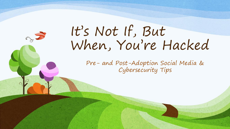# It's Not If, But When, You're Hacked

Pre- and Post-Adoption Social Media & Cybersecurity Tips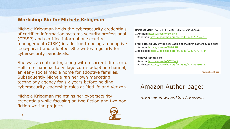### **Workshop Bio for Michele Kriegman**

Michele Kriegman holds the cybersecurity credentials of certified information systems security professional (CISSP) and certified information security management (CISM) in addition to being an adoptive step-parent and adoptee. She writes regularly for cybersecurity periodicals.

She was a contributor, along with a current director of Holt International to iVillage.com's adoption channel, an early social media home for adoptive families. Subsequently Michele ran her own marketing technology agency for six years before holding cybersecurity leadership roles at MetLife and Verizon.

Michele Kriegman maintains her cybersecurity credentials while focusing on two fiction and two nonfiction writing projects.



#### **ROCK MEMOIR: Book 1 of the Birth-Fathers' Club Series**

- ...Amazon: <https://amzn.to/3olbMpP>
- ...Bookshop: <https://bookshop.org/a/78945/9781737947707>

#### **From a Desert City by the Sea: Book 2 of the Birth-Fathers' Club Series**

- ...Amazon: <https://amzn.to/3Hk6vHJ>
- ...Bookshop: <https://bookshop.org/a/78945/9781737947714>

#### **The novel Tapioca Fire**

- ...Amazon: <https://amzn.to/2YGTYg5>
- ...Bookshop: <https://bookshop.org/a/78945/9781495305757>

Reunion Land Press

### Amazon Author page:

amazon.com/author/michele

2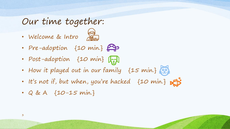### Our time together:

• Welcome & Intro



- Pre-adoption {10 min.}
- Post-adoption {10 min}  $\sqrt{\frac{1}{r}}$
- How it played out in our family {15 min.}
- It's not if, but when, you're hacked {10 min.}
- Q & A {10-15 min.}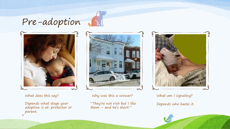## Pre-adoption



What does this say?

Depends what stage your adoption is at: protector or parent. 4



 $\lambda$ 

Why was this a winner?

"They're not rich but I like them – and he's short."



What am I signaling? Depends who hacks it.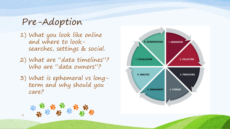## Pre-Adoption

1) What you look like online and where to looksearches, settings & social.

- 2) What are "data timelines"? Who are "data owners"?
- 3) What is ephemeral vs longterm and why should you care?

5

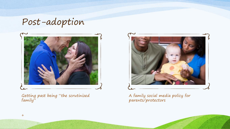Post-adoption



Getting past being "the scrutinized family"



A family social media policy for parents/protectors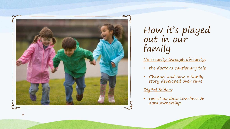

How it's played out in our family

No security through obscurity:

- the doctor's cautionary tale
- Channel and how a family story developed over time

### Digital folders :

• revisiting data timelines & data ownership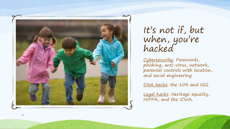

It's not if, but when, you're hacked

Cybersecurity: Passwords, phishing, anti -virus, network, parental controls with location, and social engineering.

DNA hacks: the 10% and IGG .

Legal hacks: Heritage equality, HIPPA, and the ICWA.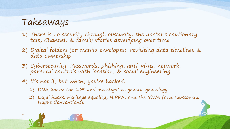## Takeaways

9

- 1) There is no security through obscurity: the doctor's cautionary tale, Channel, & family stories developing over time
- 2) Digital folders (or manila envelopes): revisiting data timelines & data ownership
- 3) Cybersecurity: Passwords, phishing, anti-virus, network, parental controls with location, & social engineering.
- 4) It's not if, but when, you're hacked.
	- 1) DNA hacks: the 10% and investigative genetic genealogy.
	- 2) Legal hacks: Heritage equality, HIPPA, and the ICWA (and subsequent Hague Conventions).